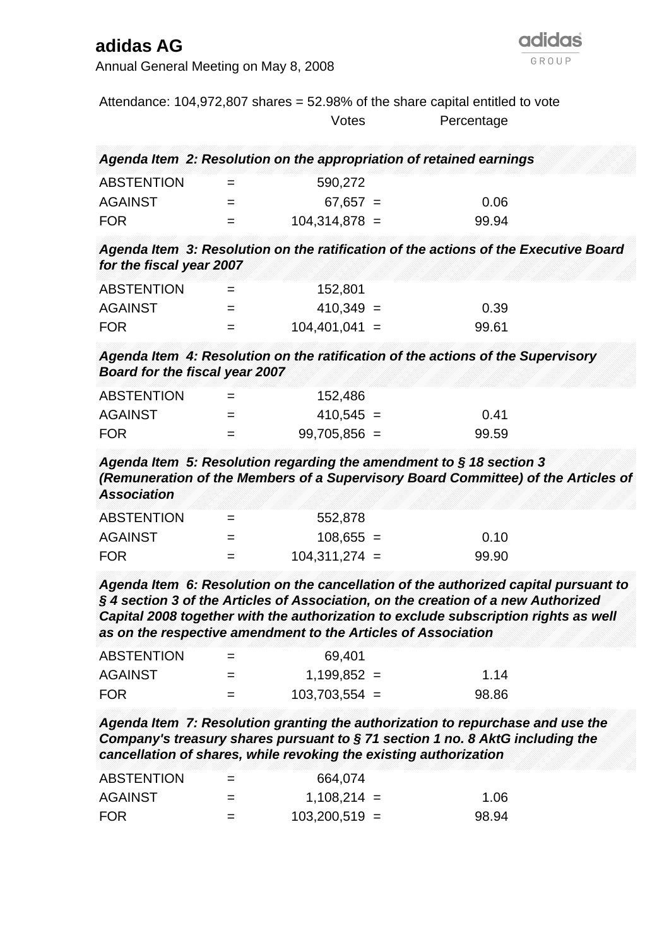## **adidas AG**

Annual General Meeting on May 8, 2008

|                                                                                              |     |                 | Attendance: $104,972,807$ shares = $52.98\%$ of the share capital entitled to vote                                                                                                                                                                                 |
|----------------------------------------------------------------------------------------------|-----|-----------------|--------------------------------------------------------------------------------------------------------------------------------------------------------------------------------------------------------------------------------------------------------------------|
|                                                                                              |     | Votes           | Percentage                                                                                                                                                                                                                                                         |
| Agenda Item 2: Resolution on the appropriation of retained earnings                          |     |                 |                                                                                                                                                                                                                                                                    |
| <b>ABSTENTION</b>                                                                            | $=$ | 590,272         |                                                                                                                                                                                                                                                                    |
| <b>AGAINST</b>                                                                               | $=$ | $67,657 =$      | 0.06                                                                                                                                                                                                                                                               |
| <b>FOR</b>                                                                                   | $=$ | $104,314,878 =$ | 99.94                                                                                                                                                                                                                                                              |
| for the fiscal year 2007                                                                     |     |                 | Agenda Item 3: Resolution on the ratification of the actions of the Executive Board                                                                                                                                                                                |
| <b>ABSTENTION</b>                                                                            | $=$ | 152,801         |                                                                                                                                                                                                                                                                    |
| <b>AGAINST</b>                                                                               | $=$ | $410,349 =$     | 0.39                                                                                                                                                                                                                                                               |
| <b>FOR</b>                                                                                   | $=$ | $104,401,041 =$ | 99.61                                                                                                                                                                                                                                                              |
| Board for the fiscal year 2007                                                               |     |                 | Agenda Item 4: Resolution on the ratification of the actions of the Supervisory                                                                                                                                                                                    |
| <b>ABSTENTION</b>                                                                            | $=$ | 152,486         |                                                                                                                                                                                                                                                                    |
| <b>AGAINST</b>                                                                               | $=$ | $410,545 =$     | 0.41                                                                                                                                                                                                                                                               |
| <b>FOR</b>                                                                                   | $=$ | $99,705,856 =$  | 99.59                                                                                                                                                                                                                                                              |
| Agenda Item 5: Resolution regarding the amendment to $\S$ 18 section 3<br><b>Association</b> |     |                 | (Remuneration of the Members of a Supervisory Board Committee) of the Articles of                                                                                                                                                                                  |
| <b>ABSTENTION</b>                                                                            | $=$ | 552,878         |                                                                                                                                                                                                                                                                    |
| <b>AGAINST</b>                                                                               | $=$ | $108,655 =$     | 0.10                                                                                                                                                                                                                                                               |
| <b>FOR</b>                                                                                   | $=$ | $104,311,274 =$ | 99.90                                                                                                                                                                                                                                                              |
| as on the respective amendment to the Articles of Association                                |     |                 | Agenda Item 6: Resolution on the cancellation of the authorized capital pursuant to<br>$\S$ 4 section 3 of the Articles of Association, on the creation of a new Authorized<br>Capital 2008 together with the authorization to exclude subscription rights as well |
| <b>ABSTENTION</b>                                                                            | $=$ | 69,401          |                                                                                                                                                                                                                                                                    |
| <b>AGAINST</b>                                                                               | $=$ | $1,199,852 =$   | 1.14                                                                                                                                                                                                                                                               |
| <b>FOR</b>                                                                                   | $=$ | $103,703,554 =$ | 98.86                                                                                                                                                                                                                                                              |
| cancellation of shares, while revoking the existing authorization                            |     |                 | Agenda Item 7: Resolution granting the authorization to repurchase and use the<br>Company's treasury shares pursuant to §71 section 1 no. 8 AktG including the                                                                                                     |
| <b>ABSTENTION</b>                                                                            |     | 664,074         |                                                                                                                                                                                                                                                                    |
| <b>AGAINST</b>                                                                               | $=$ | $1,108,214 =$   | 1.06                                                                                                                                                                                                                                                               |
| <b>FOR</b>                                                                                   | $=$ | $103,200,519 =$ | 98.94                                                                                                                                                                                                                                                              |